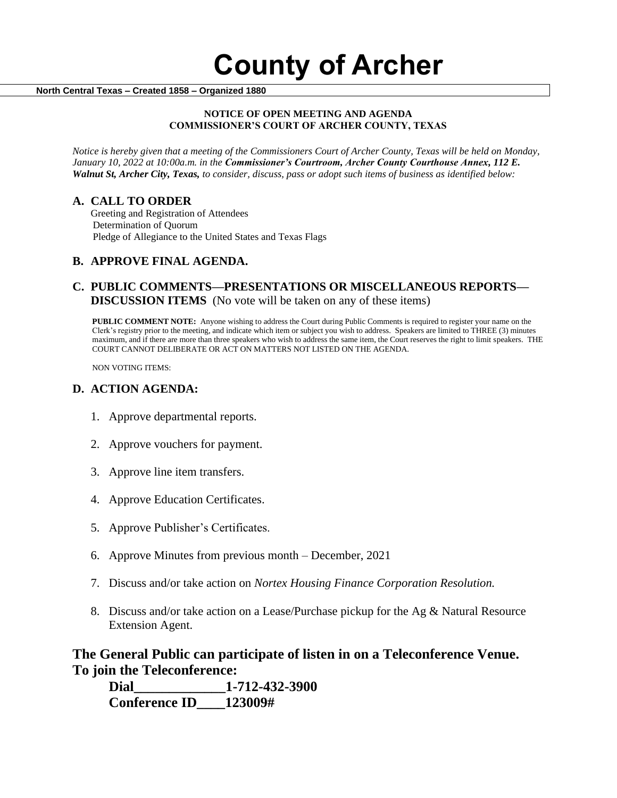#### **North Central Texas – Created 1858 – Organized 1880**

#### **NOTICE OF OPEN MEETING AND AGENDA COMMISSIONER'S COURT OF ARCHER COUNTY, TEXAS**

*Notice is hereby given that a meeting of the Commissioners Court of Archer County, Texas will be held on Monday, January 10, 2022 at 10:00a.m. in the Commissioner's Courtroom, Archer County Courthouse Annex, 112 E. Walnut St, Archer City, Texas, to consider, discuss, pass or adopt such items of business as identified below:*

#### **A. CALL TO ORDER**

 Greeting and Registration of Attendees Determination of Quorum Pledge of Allegiance to the United States and Texas Flags

### **B. APPROVE FINAL AGENDA.**

## **C. PUBLIC COMMENTS—PRESENTATIONS OR MISCELLANEOUS REPORTS— DISCUSSION ITEMS** (No vote will be taken on any of these items)

**PUBLIC COMMENT NOTE:** Anyone wishing to address the Court during Public Comments is required to register your name on the Clerk's registry prior to the meeting, and indicate which item or subject you wish to address. Speakers are limited to THREE (3) minutes maximum, and if there are more than three speakers who wish to address the same item, the Court reserves the right to limit speakers. THE COURT CANNOT DELIBERATE OR ACT ON MATTERS NOT LISTED ON THE AGENDA.

NON VOTING ITEMS:

#### **D. ACTION AGENDA:**

- 1. Approve departmental reports.
- 2. Approve vouchers for payment.
- 3. Approve line item transfers.
- 4. Approve Education Certificates.
- 5. Approve Publisher's Certificates.
- 6. Approve Minutes from previous month December, 2021
- 7. Discuss and/or take action on *Nortex Housing Finance Corporation Resolution.*
- 8. Discuss and/or take action on a Lease/Purchase pickup for the Ag & Natural Resource Extension Agent.

# **The General Public can participate of listen in on a Teleconference Venue. To join the Teleconference:**

**Dial\_\_\_\_\_\_\_\_\_\_\_\_\_1-712-432-3900 Conference ID\_\_\_\_123009#**